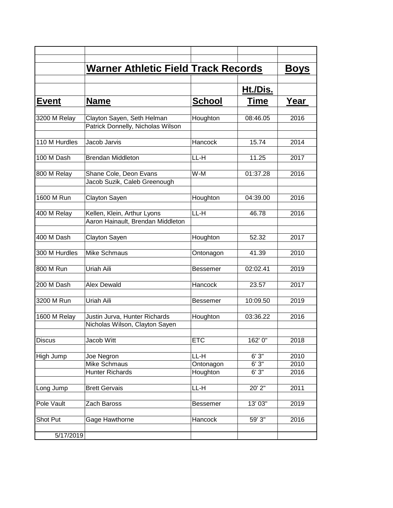|               | <b>Warner Athletic Field Track Records</b>                       |                               |                         | <b>Boys</b>          |
|---------------|------------------------------------------------------------------|-------------------------------|-------------------------|----------------------|
|               |                                                                  |                               | Ht./Dis.                |                      |
| <b>Event</b>  | <b>Name</b>                                                      | <b>School</b>                 | Time                    | Year                 |
| 3200 M Relay  | Clayton Sayen, Seth Helman<br>Patrick Donnelly, Nicholas Wilson  | Houghton                      | 08:46.05                | 2016                 |
| 110 M Hurdles | Jacob Jarvis                                                     | Hancock                       | 15.74                   | 2014                 |
| 100 M Dash    | <b>Brendan Middleton</b>                                         | LL-H                          | 11.25                   | 2017                 |
| 800 M Relay   | Shane Cole, Deon Evans<br>Jacob Suzik, Caleb Greenough           | W-M                           | 01:37.28                | 2016                 |
| 1600 M Run    | Clayton Sayen                                                    | Houghton                      | 04:39.00                | 2016                 |
| 400 M Relay   | Kellen, Klein, Arthur Lyons<br>Aaron Hainault, Brendan Middleton | LL-H                          | 46.78                   | 2016                 |
| 400 M Dash    | Clayton Sayen                                                    | Houghton                      | 52.32                   | 2017                 |
| 300 M Hurdles | <b>Mike Schmaus</b>                                              | Ontonagon                     | 41.39                   | 2010                 |
| 800 M Run     | Uriah Aili                                                       | <b>Bessemer</b>               | 02:02.41                | 2019                 |
| 200 M Dash    | Alex Dewald                                                      | Hancock                       | 23.57                   | 2017                 |
| 3200 M Run    | <b>Uriah Aili</b>                                                | Bessemer                      | 10:09.50                | 2019                 |
| 1600 M Relay  | Justin Jurva, Hunter Richards<br>Nicholas Wilson, Clayton Sayen  | Houghton                      | 03:36.22                | 2016                 |
| <b>Discus</b> | Jacob Witt                                                       | <b>ETC</b>                    | 162' 0"                 | 2018                 |
| High Jump     | Joe Negron<br><b>Mike Schmaus</b><br><b>Hunter Richards</b>      | LL-H<br>Ontonagon<br>Houghton | 6'3''<br>6'3''<br>6'3'' | 2010<br>2010<br>2016 |
| Long Jump     | <b>Brett Gervais</b>                                             | LL-H                          | 20' 2"                  | 2011                 |
| Pole Vault    | Zach Baross                                                      | Bessemer                      | 13' 03"                 | 2019                 |
| Shot Put      | Gage Hawthorne                                                   | Hancock                       | 59' 3"                  | 2016                 |
| 5/17/2019     |                                                                  |                               |                         |                      |